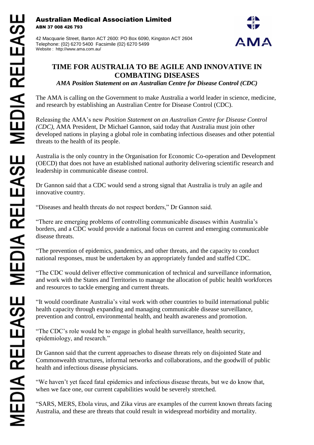Australian Medical Association Limited ABN 37 008 426 793

42 Macquarie Street, Barton ACT 2600: PO Box 6090, Kingston ACT 2604 Telephone: (02) 6270 5400 Facsimile (02) 6270 5499 Website : http://www.ama.com.au/



## **TIME FOR AUSTRALIA TO BE AGILE AND INNOVATIVE IN COMBATING DISEASES**

*AMA Position Statement on an Australian Centre for Disease Control (CDC)*

The AMA is calling on the Government to make Australia a world leader in science, medicine, and research by establishing an Australian Centre for Disease Control (CDC).

Releasing the AMA's new *Position Statement on an Australian Centre for Disease Control (CDC)*, AMA President, Dr Michael Gannon, said today that Australia must join other developed nations in playing a global role in combating infectious diseases and other potential threats to the health of its people.

Australia is the only country in the Organisation for Economic Co-operation and Development (OECD) that does not have an established national authority delivering scientific research and leadership in communicable disease control.

Dr Gannon said that a CDC would send a strong signal that Australia is truly an agile and innovative country.

"Diseases and health threats do not respect borders," Dr Gannon said.

"There are emerging problems of controlling communicable diseases within Australia's borders, and a CDC would provide a national focus on current and emerging communicable disease threats.

"The prevention of epidemics, pandemics, and other threats, and the capacity to conduct national responses, must be undertaken by an appropriately funded and staffed CDC.

"The CDC would deliver effective communication of technical and surveillance information, and work with the States and Territories to manage the allocation of public health workforces and resources to tackle emerging and current threats.

"It would coordinate Australia's vital work with other countries to build international public health capacity through expanding and managing communicable disease surveillance, prevention and control, environmental health, and health awareness and promotion.

"The CDC's role would be to engage in global health surveillance, health security, epidemiology, and research."

Dr Gannon said that the current approaches to disease threats rely on disjointed State and Commonwealth structures, informal networks and collaborations, and the goodwill of public health and infectious disease physicians.

"We haven't yet faced fatal epidemics and infectious disease threats, but we do know that, when we face one, our current capabilities would be severely stretched.

"SARS, MERS, Ebola virus, and Zika virus are examples of the current known threats facing Australia, and these are threats that could result in widespread morbidity and mortality.